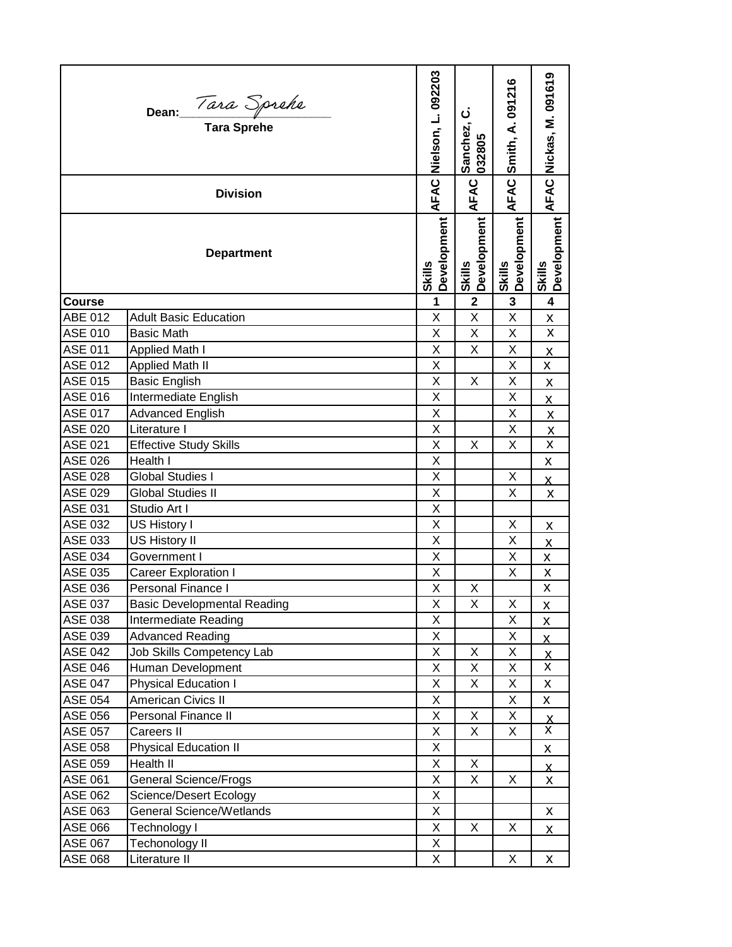|                 | Dean: <i>Tara Sprehe</i><br>Tara Sprehe | Nielson, L. 092203<br>AFAC | ن<br>Sanchez,<br>032805 | Smith, A. 091216             | AFAC Nickas, M. 091619          |
|-----------------|-----------------------------------------|----------------------------|-------------------------|------------------------------|---------------------------------|
| <b>Division</b> |                                         |                            | AFAC                    | AFAC                         |                                 |
|                 | <b>Department</b>                       | Development<br>Skills      | Development<br>Skills   | Development<br><b>Skills</b> | Development<br><b>Skills</b>    |
| Course          |                                         | $\mathbf{1}$               | $\overline{\mathbf{2}}$ | 3                            | $\overline{\mathbf{4}}$         |
| ABE 012         | <b>Adult Basic Education</b>            | X                          | Χ                       | X                            | X                               |
| <b>ASE 010</b>  | <b>Basic Math</b>                       | X                          | X                       | X                            | X                               |
| <b>ASE 011</b>  | Applied Math I                          | $\sf X$                    | X                       | X                            | <u>х</u>                        |
| <b>ASE 012</b>  | <b>Applied Math II</b>                  | X                          |                         | X                            | X                               |
| <b>ASE 015</b>  | <b>Basic English</b>                    | X                          | Χ                       | X                            | X                               |
| <b>ASE 016</b>  | Intermediate English                    | X                          |                         | Χ                            | $\mathsf{x}$                    |
| <b>ASE 017</b>  | <b>Advanced English</b>                 | X                          |                         | X                            | X                               |
| <b>ASE 020</b>  | Literature I                            | X                          |                         | X                            | $\underline{\mathsf{X}}$        |
| <b>ASE 021</b>  | <b>Effective Study Skills</b>           | X                          | X                       | X                            | $\overline{\mathsf{x}}$         |
| <b>ASE 026</b>  | Health I                                | X                          |                         |                              | X                               |
| <b>ASE 028</b>  | <b>Global Studies I</b>                 | X                          |                         | X                            | X                               |
| <b>ASE 029</b>  | <b>Global Studies II</b>                | X                          |                         | X                            | X                               |
| ASE 031         | Studio Art I                            | X                          |                         |                              |                                 |
| ASE 032         | US History I                            | X                          |                         | X                            | X                               |
| ASE 033         | US History II                           | X                          |                         | Χ                            | $\overline{\mathsf{X}}$         |
| <b>ASE 034</b>  | Government I                            | X                          |                         | X                            | Χ                               |
| ASE 035         | <b>Career Exploration I</b>             | Χ                          |                         | X                            | $\pmb{\mathsf{X}}$              |
| ASE 036         | Personal Finance I                      | X                          | Χ                       |                              | X                               |
| ASE 037         | Basic Developmental Reading             | Х                          | X                       | X                            | $\overline{\mathsf{X}}$         |
| ASE 038         | Intermediate Reading                    | Χ                          |                         | X                            | X                               |
| ASE 039         | <b>Advanced Reading</b>                 | Χ                          |                         | X                            | $\overline{\mathsf{X}}$         |
| <b>ASE 042</b>  | Job Skills Competency Lab               | Χ                          | Χ                       | Χ                            | <u>х</u>                        |
| <b>ASE 046</b>  | Human Development                       | X                          | X                       | X                            | X                               |
| <b>ASE 047</b>  | <b>Physical Education I</b>             | X                          | X                       | Χ                            | X                               |
| <b>ASE 054</b>  | <b>American Civics II</b>               | X                          |                         | X                            | X                               |
| ASE 056         | Personal Finance II                     | Χ                          | X                       | X                            |                                 |
| ASE 057         | Careers II                              | Χ                          | X                       | X                            | $\frac{\mathsf{X}}{\mathsf{X}}$ |
| ASE 058         | <b>Physical Education II</b>            | X                          |                         |                              | X                               |
| ASE 059         | Health II                               | X                          | X                       |                              | х.                              |
| <b>ASE 061</b>  | <b>General Science/Frogs</b>            | Χ                          | X                       | X                            | X                               |
| <b>ASE 062</b>  | Science/Desert Ecology                  | Χ                          |                         |                              |                                 |
| ASE 063         | <b>General Science/Wetlands</b>         | X                          |                         |                              | X                               |
| ASE 066         | Technology I                            | Χ                          | Χ                       | X                            | X                               |
| <b>ASE 067</b>  | Techonology II                          | Χ                          |                         |                              |                                 |
| ASE 068         | Literature II                           | X                          |                         | X                            | X                               |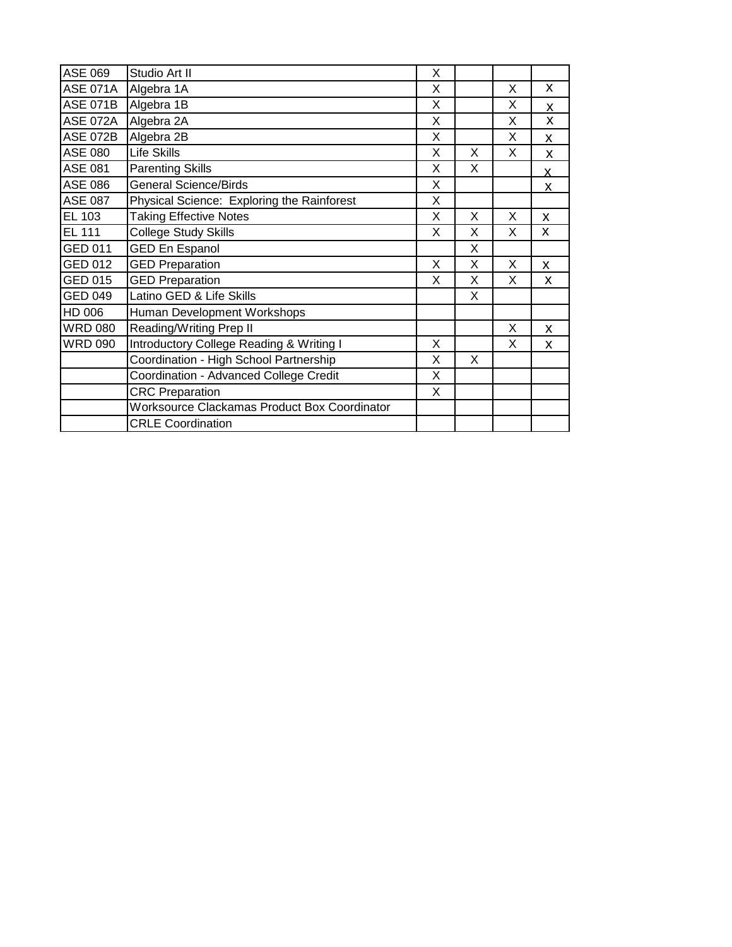| <b>ASE 069</b>  | Studio Art II                                |   |   |   |   |
|-----------------|----------------------------------------------|---|---|---|---|
| <b>ASE 071A</b> | Algebra 1A                                   |   |   | X | X |
| <b>ASE 071B</b> | Algebra 1B                                   |   |   | X | X |
| <b>ASE 072A</b> | Algebra 2A                                   |   |   | X | X |
| <b>ASE 072B</b> | Algebra 2B                                   |   |   | X | X |
| ASE 080         | <b>Life Skills</b>                           |   | X | X | X |
| ASE 081         | <b>Parenting Skills</b>                      |   | X |   | X |
| ASE 086         | <b>General Science/Birds</b>                 |   |   |   | X |
| ASE 087         | Physical Science: Exploring the Rainforest   | X |   |   |   |
| EL 103          | <b>Taking Effective Notes</b>                | X | X | X | X |
| EL 111          | College Study Skills                         | X | X | X | X |
| GED 011         | <b>GED En Espanol</b>                        |   | X |   |   |
| GED 012         | <b>GED Preparation</b>                       | X | X | X | X |
| GED 015         | <b>GED Preparation</b>                       |   | X | X | X |
| GED 049         | Latino GED & Life Skills                     |   | X |   |   |
| HD 006          | Human Development Workshops                  |   |   |   |   |
| WRD 080         | Reading/Writing Prep II                      |   |   | X | X |
| <b>WRD 090</b>  | Introductory College Reading & Writing I     | X |   | X | X |
|                 | Coordination - High School Partnership       | X | X |   |   |
|                 | Coordination - Advanced College Credit       | X |   |   |   |
|                 | <b>CRC Preparation</b>                       | X |   |   |   |
|                 | Worksource Clackamas Product Box Coordinator |   |   |   |   |
|                 | <b>CRLE Coordination</b>                     |   |   |   |   |